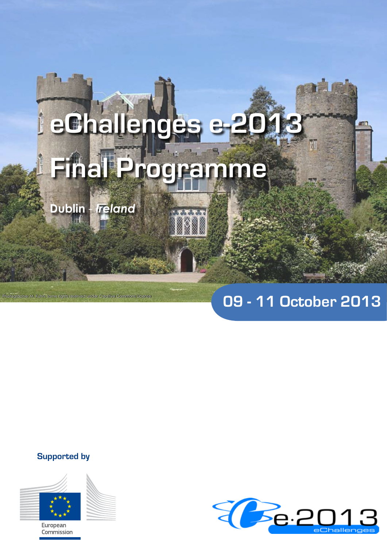# **eChallenges e-2013 Final Programme**

**BSBB** 

**Dublin** - *Ireland*

Photographer M. Kuhn, some rights reserved under Creative Commons License

# **09 - 11 October 2013**

**Supported by**



European Commission

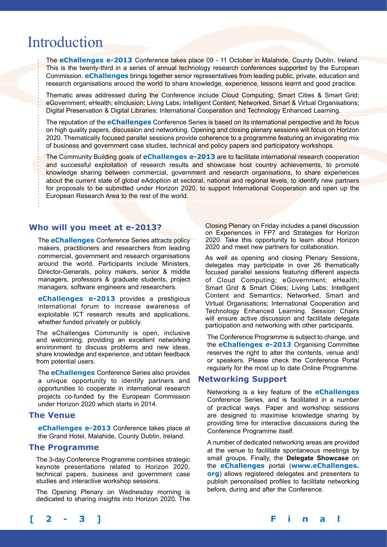# Introduction

The **eChallenges e-2013** Conference takes place 09 - 11 October in Malahide, County Dublin, Ireland. This is the twenty-third in a series of annual technology research conferences supported by the European Commission. **eChallenges** brings together senior representatives from leading public, private, education and research organisations around the world to share knowledge, experience, lessons learnt and good practice.

Thematic areas addressed during the Conference include Cloud Computing; Smart Cities & Smart Grid; eGovernment; eHealth; eInclusion; Living Labs; Intelligent Content; Networked, Smart & Virtual Organisations; Digital Preservation & Digital Libraries; International Cooperation and Technology Enhanced Learning.

The reputation of the **eChallenges** Conference Series is based on its international perspective and its focus on high quality papers, discussion and networking. Opening and closing plenary sessions will focus on Horizon 2020. Thematically focused parallel sessions provide coherence to a programme featuring an invigorating mix of business and government case studies, technical and policy papers and participatory workshops.

The Community Building goals of **eChallenges e-2013** are to facilitate international research cooperation and successful exploitation of research results and showcase host country achievements, to promote knowledge sharing between commercial, government and research organisations, to share experiences about the current state of global eAdoption at sectoral, national and regional levels, to identify new partners for proposals to be submitted under Horizon 2020, to support International Cooperation and open up the European Research Area to the rest of the world.

# **Who will you meet at e-2013?**

The **eChallenges** Conference Series attracts policy makers, practitioners and researchers from leading commercial, government and research organisations around the world. Participants include Ministers, Director-Generals, policy makers, senior & middle managers, professors & graduate students, project managers, software engineers and researchers.

**eChallenges e-2013** provides a prestigious international forum to increase awareness of exploitable ICT research results and applications, whether funded privately or publicly.

The eChallenges Community is open, inclusive and welcoming, providing an excellent networking environment to discuss problems and new ideas, share knowledge and experience, and obtain feedback from potential users.

The **eChallenges** Conference Series also provides a unique opportunity to identify partners and opportunities to cooperate in international research projects co-funded by the European Commission under Horizon 2020 which starts in 2014.

# **The Venue**

**eChallenges e-2013** Conference takes place at the Grand Hotel, Malahide, County Dublin, Ireland.

# **The Programme**

The 3-day Conference Programme combines strategic keynote presentations related to Horizon 2020, technical papers, business and government case studies and interactive workshop sessions.

The Opening Plenary on Wednesday morning is dedicated to sharing insights into Horizon 2020. The Closing Plenary on Friday includes a panel discussion on Experiences in FP7 and Strategies for Horizon 2020. Take this opportunity to learn about Horizon 2020 and meet new partners for collaboration.

As well as opening and closing Plenary Sessions, delegates may participate in over 26 thematically focused parallel sessions featuring different aspects of Cloud Computing; eGovernment; eHealth; Smart Grid & Smart Cities; Living Labs; Intelligent Content and Semantics; Networked, Smart and Virtual Organisations; International Cooperation and Technology Enhanced Learning. Session Chairs will ensure active discussion and facilitate delegate participation and networking with other participants.

The Conference Programme is subject to change, and the **eChallenges e-2013** Organising Committee reserves the right to alter the contents, venue and/ or speakers. Please check the Conference Portal regularly for the most up to date Online Programme.

# **Networking Support**

Networking is a key feature of the **eChallenges** Conference Series, and is facilitated in a number of practical ways. Paper and workshop sessions are designed to maximise knowledge sharing by providing time for interactive discussions during the Conference Programme itself.

A number of dedicated networking areas are provided at the venue to facilitate spontaneous meetings by small groups. Finally, the **Delegate Showcase** on the **eChallenges** portal (**www.eChallenges. org**) allows registered delegates and presenters to publish personalised profiles to facilitate networking before, during and after the Conference.

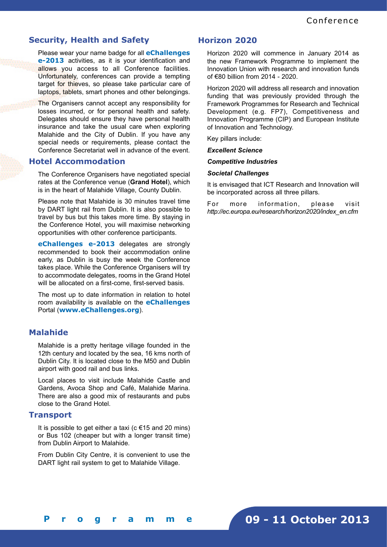# **Security, Health and Safety**

Please wear your name badge for all **eChallenges e-2013** activities, as it is your identification and allows you access to all Conference facilities. Unfortunately, conferences can provide a tempting target for thieves, so please take particular care of laptops, tablets, smart phones and other belongings.

The Organisers cannot accept any responsibility for losses incurred, or for personal health and safety. Delegates should ensure they have personal health insurance and take the usual care when exploring Malahide and the City of Dublin. If you have any special needs or requirements, please contact the Conference Secretariat well in advance of the event.

# **Hotel Accommodation**

The Conference Organisers have negotiated special rates at the Conference venue (**Grand Hotel**), which is in the heart of Malahide Village, County Dublin.

Please note that Malahide is 30 minutes travel time by DART light rail from Dublin. It is also possible to travel by bus but this takes more time. By staying in the Conference Hotel, you will maximise networking opportunities with other conference participants.

**eChallenges e-2013** delegates are strongly recommended to book their accommodation online early, as Dublin is busy the week the Conference takes place. While the Conference Organisers will try to accommodate delegates, rooms in the Grand Hotel will be allocated on a first-come, first-served basis.

The most up to date information in relation to hotel room availability is available on the **eChallenges** Portal (**www.eChallenges.org**).

# **Malahide**

Malahide is a pretty heritage village founded in the 12th century and located by the sea, 16 kms north of Dublin City. It is located close to the M50 and Dublin airport with good rail and bus links.

Local places to visit include Malahide Castle and Gardens, Avoca Shop and Café, Malahide Marina. There are also a good mix of restaurants and pubs close to the Grand Hotel.

# **Transport**

It is possible to get either a taxi ( $c \in 15$  and 20 mins) or Bus 102 (cheaper but with a longer transit time) from Dublin Airport to Malahide.

From Dublin City Centre, it is convenient to use the DART light rail system to get to Malahide Village.

# **Horizon 2020**

Horizon 2020 will commence in January 2014 as the new Framework Programme to implement the Innovation Union with research and innovation funds of €80 billion from 2014 - 2020.

Horizon 2020 will address all research and innovation funding that was previously provided through the Framework Programmes for Research and Technical Development (e.g. FP7), Competitiveness and Innovation Programme (CIP) and European Institute of Innovation and Technology.

Key pillars include:

*Excellent Science*

# *Competitive Industries*

# *Societal Challenges*

It is envisaged that ICT Research and Innovation will be incorporated across all three pillars.

For more information, please visit *http://ec.europa.eu/research/horizon2020/index\_en.cfm*

# **09 - 11 October 2013**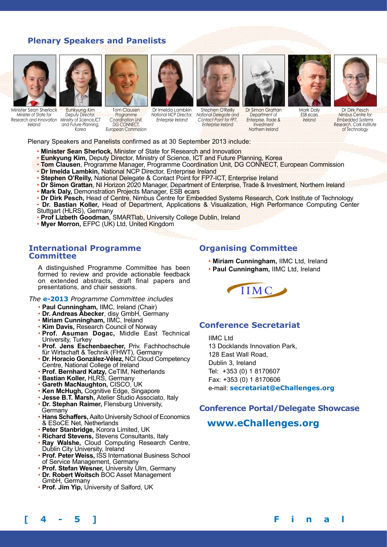# **Plenary Speakers and Panelists**





Minister Sean Sherlock *Minister of State for Research and Innovation Ministry of Science,ICT Ireland* 

Eunkyung Kim *Deputy Director, and Future Planning, Korea* Tom Clausen *Programme Coordination Unit, DG CONNECT, European Commission*

Dr Imelda Lambkin *National NCP Director, Enterprise Ireland*

Stephen O'Reilly *National Delegate and Contact Point for FP7,* 

*Enterprise Ireland*



Dr Simon Grattan *Department of Enterprise, Trade & Investment Northern Ireland*

Mark Daly

*ESB ecars Ireland*



Dr Dirk Pesch *Nimbus Centre for Embedded Systems Research, Cork Institute of Technology*

Plenary Speakers and Panelists confirmed as at 30 September 2013 include:

- **Minister Sean Sherlock,** Minister of State for Research and Innovation
- **Eunkyung Kim,** Deputy Director, Ministry of Science, ICT and Future Planning, Korea
- **Tom Clausen**, Programme Manager, Programme Coordination Unit, DG CONNECT, European Commission
- **Dr Imelda Lambkin,** National NCP Director, Enterprise Ireland
- **Stephen O'Reilly,** National Delegate & Contact Point for FP7-ICT, Enterprise Ireland
- **Dr Simon Grattan**, NI Horizon 2020 Manager, Department of Enterprise, Trade & Investment, Northern Ireland
- **Mark Daly,** Demonstration Projects Manager, ESB ecars
- **Dr Dirk Pesch,** Head of Centre, Nimbus Centre for Embedded Systems Research, Cork Institute of Technology
- **Dr. Bastian Koller,** Head of Department, Applications & Visualization, High Performance Computing Center Stuttgart (HLRS), Germany
- **Prof Lizbeth Goodman,** SMARTlab, University College Dublin, Ireland
- **Myer Morron,** EFPC (UK) Ltd, United Kingdom

# **International Programme Committee**

A distinguished Programme Committee has been formed to review and provide actionable feedback on extended abstracts, draft final papers and presentations, and chair sessions.

*The* **e-2013** *Programme Committee includes*

- **Paul Cunningham,** IIMC, Ireland (Chair)
- **Dr. Andreas Abecker**, disy GmbH, Germany
- **Miriam Cunningham,** IIMC, Ireland
- **Kim Davis,** Research Council of Norway
- **Prof. Asuman Dogac,** Middle East Technical University, Turkey
- **Prof. Jens Eschenbaecher,** Priv. Fachhochschule für Wirtschaft & Technik (FHWT), Germany
- Dr. Horacio González-Vélez, NCI Cloud Competency Centre, National College of Ireland
- **Prof. Bernhard Katzy,** CeTIM, Netherlands
- **Bastian Koller,** HLRS, Germany
- **Gareth MacNaughton,** CISCO, UK
- **Ken McHugh,** Cognitive Edge, Singapore
- **Jesse B.T. Marsh,** Atelier Studio Associato, Italy
- **Dr. Stephan Raimer,** Flensburg University, **Germany**
- **Hans Schaffers,** Aalto University School of Economics & ESoCE Net, Netherlands
- **Peter Stanbridge,** Korora Limited, UK
- **Richard Stevens,** Stevens Consultants, Italy
- **Ray Walshe,** Cloud Computing Research Centre, Dublin City University, Ireland
- **Prof. Peter Weiss,** ISS International Business School of Service Management, Germany
- **Prof. Stefan Wesner,** University Ulm, Germany
- **Dr. Robert Woitsch** BOC Asset Management GmbH, Germany
- **Prof. Jim Yip,** University of Salford, UK

# **Organising Committee**

- **Miriam Cunningham,** IIMC Ltd, Ireland
- **Paul Cunningham,** IIMC Ltd, Ireland



# **Conference Secretariat**

IIMC Ltd 13 Docklands Innovation Park, 128 East Wall Road, Dublin 3, Ireland Tel: +353 (0) 1 8170607 Fax: +353 (0) 1 8170606 e-mail: **secretariat@eChallenges.org**

# **Conference Portal/Delegate Showcase**

# **www.eChallenges.org**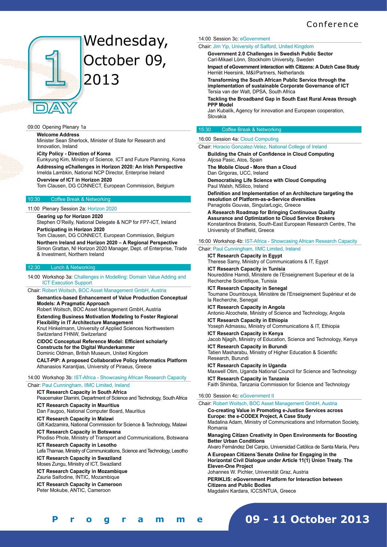

# Wednesday, October 09, 2013

#### 09:00 Opening Plenary 1a

**Welcome Address**

Minister Sean Sherlock, Minister of State for Research and Innovation, Ireland

**iCity Policy - Direction of Korea**

Eunkyung Kim, Ministry of Science, ICT and Future Planning, Korea **Addressing eChallenges in Horizon 2020: An Irish Perspective** Imelda Lambkin, National NCP Director, Enterprise Ireland

## **Overview of ICT in Horizon 2020**

Tom Clausen, DG CONNECT, European Commission, Belgium

#### Coffee Break & Networking

11:00 Plenary Session 2a: Horizon 2020

#### **Gearing up for Horizon 2020**

Stephen O'Reilly, National Delegate & NCP for FP7-ICT, Ireland **Participating in Horizon 2020**

Tom Clausen, DG CONNECT, European Commission, Belgium **Northern Ireland and Horizon 2020 – A Regional Perspective** Simon Grattan, NI Horizon 2020 Manager, Dept. of Enterprise, Trade & Investment, Northern Ireland

#### 12:30 Lunch & Networking

14:00 Workshop 3a: Challenges in Modelling: Domain Value Adding and ICT Execution Support

Chair: Robert Woitsch, BOC Asset Management GmbH, Austria

**Semantics-based Enhancement of Value Production Conceptual Models: A Pragmatic Approach** 

Robert Woitsch, BOC Asset Management GmbH, Austria **Extending Business Motivation Modeling to Foster Regional Flexibility in IT Architecture Management**

Knut Hinkelmann, University of Applied Sciences Northwestern Switzerland FHNW, Switzerland

**CIDOC Conceptual Reference Model: Efficient scholarly Constructs for the Digital Wunderkammer** Dominic Oldman, British Museum, United Kingdom

**CALT-PIP: A proposed Collaborative Policy Informatics Platform** Athanasios Karantjias, University of Piraeus, Greece

# 14:00 Workshop 3b: IST-Africa - Showcasing African Research Capacity

# Chair: Paul Cunningham, IIMC Limited, Ireland

**ICT Research Capacity in South Africa** 

Peacemaker Dlamini, Department of Science and Technology, South Africa

**ICT Research Capacity in Mauritius** 

Dan Faugoo, National Computer Board, Mauritius

**ICT Research Capacity in Malawi** 

Gift Kadzamira, National Commission for Science & Technology, Malawi **ICT Research Capacity in Botswana** 

Phodiso Phole, Ministry of Transport and Communications, Botswana **ICT Research Capacity in Lesotho** 

Lefa Thamae, Ministry of Communications, Science and Technology, Lesotho **ICT Research Capacity in Swaziland** 

Moses Zungu, Ministry of ICT, Swaziland

**ICT Research Capacity in Mozambique** 

Zauria Saifodine, INTIC, Mozambique

**ICT Research Capacity in Cameroon**  Peter Mokube, ANTIC, Cameroon

## 14:00 Session 3c: eGovernment

Chair: Jim Yip, University of Salford, United Kingdom

**Government 2.0 Challenges in Swedish Public Sector** Carl-Mikael Lönn, Stockholm University, Sweden

**Impact of eGovernment interaction with Citizens: A Dutch Case Study** Herriët Heersink, M&I/Partners, Netherlands

**Transforming the South African Public Service through the implementation of sustainable Corporate Governance of ICT** Tersia van der Walt, DPSA, South Africa

**Tackling the Broadband Gap in South East Rural Areas through PPP Model**

Jan Kubalík, Agency for innovation and European cooperation, Slovakia

#### 15:30 Coffee Break & Networking

#### 16:00 Session 4a: Cloud Computing

Chair: Horacio Gonzalez-Velez, National College of Ireland

**Building the Chain of Confidence in Cloud Computing** Aljosa Pasic, Atos, Spain

**The Mobile Cloud - More than a Cloud** Dan Grigoras, UCC, Ireland

**Democratising Life Science with Cloud Computing** Paul Walsh, NSilico, Ireland

**Definition and Implementation of an Architecture targeting the resolution of Platform-as-a-Service diversities** Panagiotis Gouvas, SingularLogic, Greece

**A Research Roadmap for Bringing Continuous Quality Assurance and Optimization to Cloud Service Brokers** Konstantinos Bratanis, South-East European Research Centre, The University of Sheffield, Greece

#### 16:00 Workshop 4b: IST-Africa - Showcasing African Research Capacity

Chair: Paul Cunningham, IIMC Limited, Ireland **ICT Research Capacity in Egypt** 

Therese Samy, Ministry of Communications & IT, Egypt **ICT Research Capacity in Tunisia** 

Noureddine Hamdi, Ministere de l'Enseignement Superieur et de la Recherche Scientifique, Tunisia

**ICT Research Capacity in Senegal**  Toumane Doumbouya, Ministère de l'Enseignement Supérieur et de la Recherche, Senegal

**ICT Research Capacity in Angola**  Antonio Alcochete, Ministry of Science and Technology, Angola **ICT Research Capacity in Ethiopia** 

Yoseph Admassu, Ministry of Communications & IT, Ethiopia

**ICT Research Capacity in Kenya**  Jacob Njagih, Ministry of Education, Science and Technology, Kenya **ICT Research Capacity in Burundi**  Tatien Masharabu, Ministry of Higher Education & Scientific Research, Burundi

**ICT Research Capacity in Uganda**  Maxwell Otim, Uganda National Council for Science and Technology **ICT Research Capacity in Tanzania**  Faith Shimba, Tanzania Commission for Science and Technology

#### 16:00 Session 4c: eGovernment II

#### Chair: Robert Woitsch, BOC Asset Management GmbH, Austria

**Co-creating Value in Promoting e-Justice Services across Europe: the e-CODEX Project, A Case Study**  Madalina Adam, Ministry of Communications and Information Society, Romania **Managing Citizen Creativity in Open Environments for Boosting Better Urban Conditions** Alvaro Fernández Del Carpio, Universidad Católica de Santa María, Peru **A European Citizens´Senate Online for Engaging in the Horizontal Civil Dialogue under Article 11(1) Union Treaty. The Eleven-One Project**  Johannes W. Pichler, Universität Graz, Austria **PERIKLIS: eGovernment Platform for Interaction between Citizens and Public Bodies** Magdalini Kardara, ICCS/NTUA, Greece

**[ 4 - 5 ] F i n a l P r o g r a m m e**

**09 - 11 October 2013**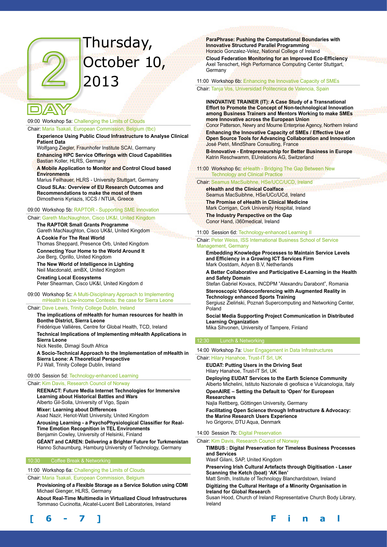# Thursday, October 10, 2013

# 09:00 Workshop 5a: Challenging the Limits of Clouds

## Chair: Maria Tsakali, European Commission, Belgium (tbc)

**Experience Using Public Cloud Infrastructure to Analyse Clinical Patient Data**

Wolfgang Ziegler, Fraunhofer Institute SCAI, Germany

**Enhancing HPC Service Offerings with Cloud Capabilities** Bastian Koller, HLRS, Germany

**A Mobile Application to Monitor and Control Cloud based Environments**

Marius Feilhauer, HLRS - University Stuttgart, Germany **Cloud SLAs: Overview of EU Research Outcomes and Recommendations to make the most of them**  Dimosthenis Kyriazis, ICCS / NTUA, Greece

#### 09:00 Workshop 5b: RAPTOR - Supporting SME Innovation

Chair: Gareth MacNaughton, Cisco UK&I, United Kingdom

**The RAPTOR Small Grants Programme**  Gareth MacNaughton, Cisco UK&I, United Kingdom **A Cookie For The Real World** 

Thomas Sheppard, Presence Orb, United Kingdom **Connecting Your Home to the World Around It** 

Joe Berg, Oprillo, United Kingdom **The New World of Intelligence in Lighting**  Neil Macdonald, amBX, United Kingdom

**Creating Local Ecosystems**  Peter Shearman, Cisco UK&I, United Kingdom d

09:00 Workshop 5c: A Multi-Disciplinary Approach to Implementing mHealth in Low-Income Contexts: the case for Sierra Leone

Chair: Dave Lewis, Trinity College Dublin, Ireland

#### **The implications of mHealth for human resources for health in Bonthe District, Sierra Leone** Frédérique Vallières, Centre for Global Health, TCD, Ireland

**Technical Implications of Implementing mHealth Applications in Sierra Leone**

Nick Nestle, Dimagi South Africa

**A Socio-Technical Approach to the Implementation of mHealth in Sierra Leone: A Theoretical Perspective** PJ Wall, Trinity College Dublin, Ireland

#### 09:00 Session 5d: Technology-enhanced Learning

Chair: Kim Davis, Research Council of Norway

**REENACT: Future Media Internet Technologies for Immersive Learning about Historical Battles and Wars** Alberto Gil-Solla, University of Vigo, Spain

**Mixer: Learning about Differences**

Asad Nazir, Heriot-Watt University, United Kingdom

**Arousing Learning - a PsychoPhysiological Classifier for Real-Time Emotion Recognition in TEL Environments** Benjamin Cowley, University of Helsinki, Finland

**GÉANT and CAREN: Delivering a Brighter Future for Turkmenistan**

Hanno Schaumburg, Hamburg University of Technology, Germany

#### 10:30 Coffee Break & Networking

11:00 Workshop 6a: Challenging the Limits of Clouds

Chair: Maria Tsakali, European Commission, Belgium

**Provisioning of a Flexible Storage as a Service Solution using CDMI** Michael Gienger, HLRS, Germany

**About Real-Time Multimedia in Virtualized Cloud Infrastructures**  Tommaso Cucinotta, Alcatel-Lucent Bell Laboratories, Ireland



**ParaPhrase: Pushing the Computational Boundaries with Innovative Structured Parallel Programming**  Horacio Gonzalez-Velez, National College of Ireland

**Cloud Federation Monitoring for an Improved Eco-Efficiency** Axel Tenschert, High Performance Computing Center Stuttgart, Germany

11:00 Workshop 6b: Enhancing the Innovative Capacity of SMEs Chair: Tanja Vos, Universidad Politecnica de Valencia, Spain

**INNOVATIVE TRAINER (IT): A Case Study of a Transnational Effort to Promote the Concept of Non-technological Innovation among Business Trainers and Mentors Working to make SMEs more Innovative across the European Union**  Conor Patterson, Newry and Mourne Enterprise Agency, Northern Ireland

**Enhancing the Innovative Capacity of SMEs / Effective Use of Open Source Tools for Advancing Collaboration and Innovation** José Pietri, MindShare Consulting, France

**B-Innovative - Entrepreneurship for Better Business in Europe** Katrin Reschwamm, EUrelations AG, Switzerland

11:00 Workshop 6c: eHealth - Bridging The Gap Between New Technology and Clinical Practice

# Chair: Seamus MacSuibhne, HSe/UCC/UCD, Ireland

**eHealth and the Clinical Coalface**  Seamus MacSuibhne, HSe/UCc/UCd, Ireland **The Promise of eHealth in Clinical Medicine**  Mark Corrigan, Cork University Hospital, Ireland **The Industry Perspective on the Gap**  Conor Hand, i360medical, Ireland

11:00 Session 6d: Technology-enhanced Learning II

Chair: Peter Weiss, ISS International Business School of Service Management, Germany

**Embedding Knowledge Processes to Maintain Service Levels and Efficiency in a Growing ICT Services Firm** Mark Oostdam, Adyen B.V, Netherlands

**A Better Collaborative and Participative E-Learning in the Health and Safety Domain**

Stefan Gabriel Kovacs, INCDPM "Alexandru Darabont", Romania **Stereoscopic Videoconferencing with Augmented Reality in** 

**Technology enhanced Sports Training** Sergiusz Zieliński, Poznań Supercomputing and Networking Center, Poland

**Social Media Supporting Project Communication in Distributed Learning Organization**

Mika Sihvonen, University of Tampere, Finland

14:00 Workshop 7a: User Engagement in Data Infrastructures

#### Chair: Hilary Hanahoe, Trust-IT Srl, UK

**EUDAT: Putting Users in the Driving Seat**  Hilary Hanahoe, Trust-IT Srl, UK

**Deploying EUDAT Services to the Earth Science Community**  Alberto Michelini, Istituto Nazionale di geofisica e Vulcanologia, Italy **OpenAIRE – Setting the Default to 'Open' for European Researchers** 

Najla Rettberg, Göttingen University, Germany

**Facilitating Open Science through Infrastructure & Advocacy: the Marine Research Users Experience**  Ivo Grigorov, DTU Aqua, Denmark

#### 14:00 Session 7b: Digital Preservation

Chair: Kim Davis, Research Council of Norway

**TIMBUS : Digital Preservation for Timeless Business Processes and Services**

Wasif Gilani, SAP, United Kingdom

**Preserving Irish Cultural Artefacts through Digitisation - Laser Scanning the Ketch (boat) 'AK Ilen'**

Matt Smith, Institute of Technology Blanchardstown, Ireland **Digitizing the Cultural Heritage of a Minority Organisation in Ireland for Global Research**

Susan Hood, Church of Ireland Representative Church Body Library, Ireland

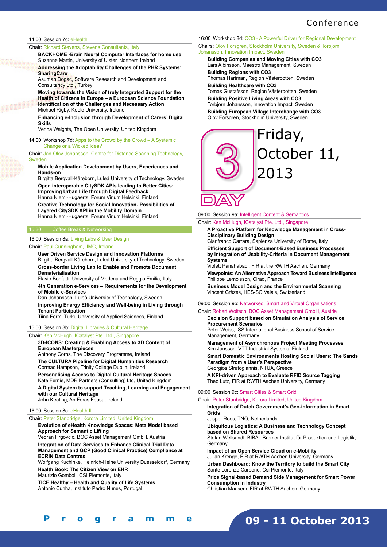# Conference

#### 14:00 Session 7c: eHealth

Chair: Richard Stevens, Stevens Consultants, Italy

**BACKHOME -Brain Neural Computer Interfaces for home use** Suzanne Martin, University of Ulster, Northern Ireland

**Addressing the Adoptability Challenges of the PHR Systems: SharingCare**

Asuman Dogac, Software Research and Development and Consultancy Ltd., Turkey

**Moving towards the Vision of truly Integrated Support for the Health of Citizens in Europe – a European Science Foundation Identification of the Challenges and Necessary Action** Michael Rigby, Keele University, Ireland

**Enhancing e-Inclusion through Development of Carers' Digital Skills**

Verina Waights, The Open University, United Kingdom

#### 14:00 Workshop 7d: Apps to the Crowd by the Crowd – A Systemic Change or a Wicked Idea?

Chair: Jan-Olov Johansson, Centre for Distance Spanning Technology, **Sweder** 

#### **Mobile Application Development by Users, Experiences and Hands-on**

Birgitta Bergvall-Kåreborn, Luleå University of Technology, Sweden **Open interoperable CitySDK APIs leading to Better Cities: Improving Urban Life through Digital Feedback**

Hanna Niemi-Hugaerts, Forum Virium Helsinki, Finland

**Creative Technology for Social Innovation- Possibilities of Layered CitySDK API in the Mobility Domain** Hanna Niemi-Hugaerts, Forum Virium Helsinki, Finland

15:30 Coffee Break & Networking

#### 16:00 Session 8a: Living Labs & User Design

Chair: Paul Cunningham, IIMC, Ireland

**User Driven Service Design and Innovation Platforms** Birgitta Bergvall-Kåreborn, Luleå University of Technology, Sweden

**Cross-border Living Lab to Enable and Promote Document Dematerialisation**

Flavio Bonfatti, University of Modena and Reggio Emilia, Italy **4th Generation e-Services – Requirements for the Development of Mobile e-Services**

Dan Johansson, Luleå University of Technology, Sweden

**Improving Energy Efficiency and Well-being in Living through Tenant Participation**

Tiina Ferm, Turku University of Applied Sciences, Finland

#### 16:00 Session 8b: Digital Libraries & Cultural Heritage

Chair: Ken McHugh, ICatalyst Pte. Ltd., Singapore

**3D-ICONS: Creating & Enabling Access to 3D Content of European Masterpieces** Anthony Corns, The Discovery Programme, Ireland **The CULTURA Pipeline for Digital Humanities Research** Cormac Hampson, Trinity College Dublin, Ireland **Personalising Access to Digital Cultural Heritage Spaces** Kate Fernie, MDR Partners (Consulting) Ltd, United Kingdom **A Digital System to support Teaching, Learning and Engagement** 

**with our Cultural Heritage**

John Keating, An Foras Feasa, Ireland

## 16:00 Session 8c: eHealth II

**[ 6 - 7 ] F i n a l P r o g r a m m e**

#### Chair: Peter Stanbridge, Korora Limited, United Kingdom

**Evolution of eHealth Knowledge Spaces: Meta Model based Approach for Semantic Lifting**

Vedran Hrgovcic, BOC Asset Management GmbH, Austria **Integration of Data Services to Enhance Clinical Trial Data Management and GCP (Good Clinical Practice) Compliance at ECRIN Data Centres**

Wolfgang Kuchinke, Heinrich-Heine University Duesseldorf, Germany **Health Book: The Citizen View on EHR**

Maurizio Gomboli, CSI Piemonte, Italy

**TICE.Healthy – Health and Quality of Life Systems**  António Cunha, Instituto Pedro Nunes, Portugal

16:00 Workshop 8d: CO3 - A Powerful Driver for Regional Development Chairs: Olov Forsgren, Stockholm University, Sweden & Torbjorn Johansson, Innovation Impact, Sweden

**Building Companies and Moving Cities with CO3**  Lars Albinsson, Maestro Management, Sweden **Building Regions with CO3**  Thomas Hartman, Region Västerbotten, Sweden **Building Healthcare with CO3**  Tomas Gustafsson, Region Västerbotten, Sweden **Building Positive Living Areas with CO3**  Torbjorn Johansson, Innovation Impact, Sweden **Building European Village Interchange with CO3**  Olov Forsgren, Stockholm University, Sweden



09:00 Session 9a: Intelligent Content & Semantics

Chair: Ken McHugh, ICatalyst Pte. Ltd., Singapore **A Proactive Platform for Knowledge Management in Cross-Disciplinary Building Design** Gianfranco Carrara, Sapienza University of Rome, Italy **Efficient Support of Document-Based Business Processes by Integration of Usability-Criteria in Document Management Systems** Violett Panahabadi, FIR at the RWTH Aachen, Germany

**Viewpoints: An Alternative Approach Toward Business Intelligence** Philippe Lemoisson, Cirad, France

**Business Model Design and the Environmental Scanning**  Vincent Grèzes, HES-SO Valais, Switzerland

09:00 Session 9b: Networked, Smart and Virtual Organisations Chair: Robert Woitsch, BOC Asset Management GmbH, Austria

**Decision Support based on Simulation Analysis of Service Procurement Scenarios** Peter Weiss, ISS International Business School of Service

Management, Germany

**Management of Asynchronous Project Meeting Processes** Kim Jansson, VTT Industrial Systems, Finland

**Smart Domestic Environments Hosting Social Users: The Sands Paradigm from a User's Perspective** Georgios Stratogiannis, NTUA, Greece

**A KPI-driven Approach to Evaluate RFID Source Tagging** Theo Lutz, FIR at RWTH Aachen University, Germany

#### 09:00 Session 9c: Smart Cities & Smart Grid

#### Chair: Peter Stanbridge, Korora Limited, United Kingdom

**Integration of Dutch Government's Geo-information in Smart Grids**

Jasper Roes, TNO, Netherlands

**Ubiquitous Logistics: A Business and Technology Concept based on Shared Resources** Stefan Wellsandt, BIBA - Bremer Institut für Produktion und Logistik, Germany

**Impact of an Open Service Cloud on e-Mobility**

Julian Krenge, FIR at RWTH Aachen University, Germany **Urban Dashboard: Know the Territory to build the Smart City** Sante Lorenzo Carbone, Csi Piemonte, Italy

**Price Signal-based Demand Side Management for Smart Power Consumption in Industry** 

Christian Maasem, FIR at RWTH Aachen, Germany

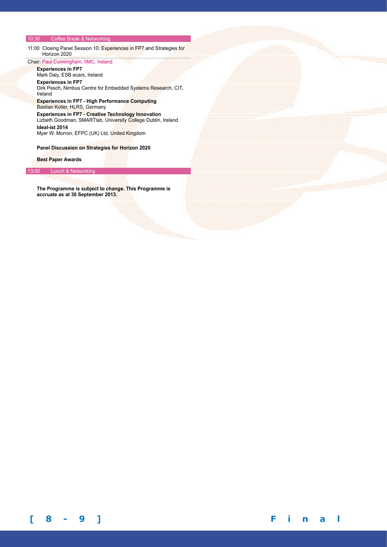#### 10:30 Coffee Break & Networking

11:00 Closing Panel Session 10: Experiences in FP7 and Strategies for Horizon 2020

Chair: Paul Cunningham, IIMC, Ireland **Experiences in FP7** 

Mark Daly, ESB ecars, Ireland **Experiences in FP7** 

Dirk Pesch, Nimbus Centre for Embedded Systems Research, CIT, Ireland

**Experiences in FP7 - High Performance Computing**  Bastian Koller, HLRS, Germany

**Experiences in FP7 - Creative Technology Innovation**  Lizbeth Goodman, SMARTlab, University College Dublin, Ireland **Ideal-ist 2014** 

Myer W. Morron, EFPC (UK) Ltd, United Kingdom

**Panel Discussion on Strategies for Horizon 2020**

**Best Paper Awards**

# 13:00 Lunch & Networking

**The Programme is subject to change. This Programme is accruate as at 30 September 2013.**

**BARBARDARY**